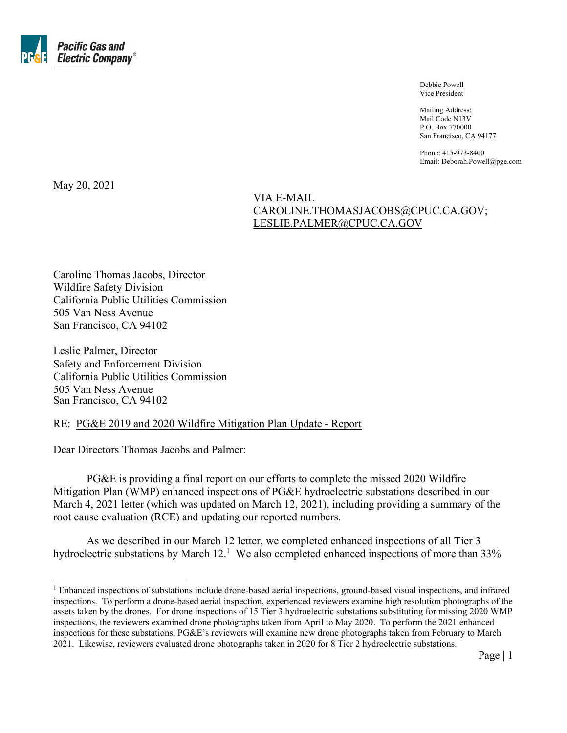

 Debbie Powell Vice President

 Mailing Address: Mail Code N13V P.O. Box 770000 San Francisco, CA 94177

Phone: 415-973-8400 Email: Deborah.Powell@pge.com

May 20, 2021

#### VIA E-MAIL CAROLINE.THOMASJACOBS@CPUC.CA.GOV; LESLIE.PALMER@CPUC.CA.GOV

Caroline Thomas Jacobs, Director Wildfire Safety Division California Public Utilities Commission 505 Van Ness Avenue San Francisco, CA 94102

Leslie Palmer, Director Safety and Enforcement Division California Public Utilities Commission 505 Van Ness Avenue San Francisco, CA 94102

#### RE: PG&E 2019 and 2020 Wildfire Mitigation Plan Update - Report

Dear Directors Thomas Jacobs and Palmer:

PG&E is providing a final report on our efforts to complete the missed 2020 Wildfire Mitigation Plan (WMP) enhanced inspections of PG&E hydroelectric substations described in our March 4, 2021 letter (which was updated on March 12, 2021), including providing a summary of the root cause evaluation (RCE) and updating our reported numbers.

As we described in our March 12 letter, we completed enhanced inspections of all Tier 3 hydroelectric substations by March  $12<sup>1</sup>$  We also completed enhanced inspections of more than 33%

Page | 1

<sup>&</sup>lt;sup>1</sup> Enhanced inspections of substations include drone-based aerial inspections, ground-based visual inspections, and infrared inspections. To perform a drone-based aerial inspection, experienced reviewers examine high resolution photographs of the assets taken by the drones. For drone inspections of 15 Tier 3 hydroelectric substations substituting for missing 2020 WMP inspections, the reviewers examined drone photographs taken from April to May 2020. To perform the 2021 enhanced inspections for these substations, PG&E's reviewers will examine new drone photographs taken from February to March 2021. Likewise, reviewers evaluated drone photographs taken in 2020 for 8 Tier 2 hydroelectric substations.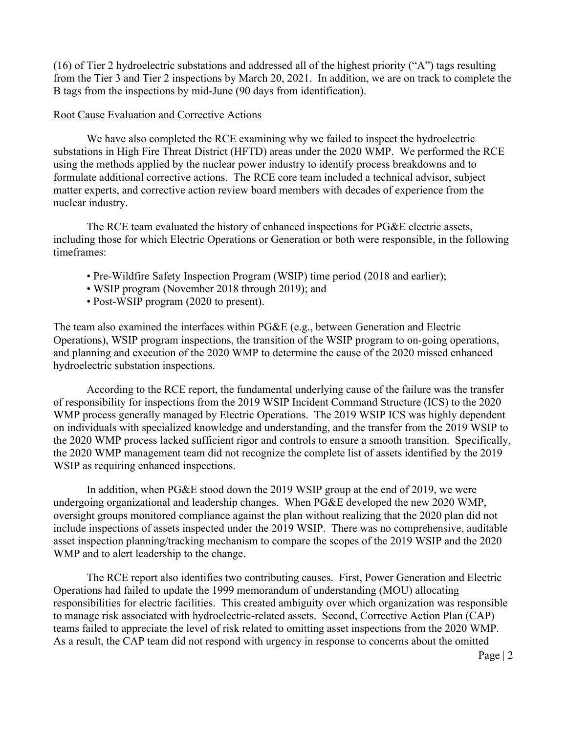(16) of Tier 2 hydroelectric substations and addressed all of the highest priority ("A") tags resulting from the Tier 3 and Tier 2 inspections by March 20, 2021. In addition, we are on track to complete the B tags from the inspections by mid-June (90 days from identification).

#### Root Cause Evaluation and Corrective Actions

We have also completed the RCE examining why we failed to inspect the hydroelectric substations in High Fire Threat District (HFTD) areas under the 2020 WMP. We performed the RCE using the methods applied by the nuclear power industry to identify process breakdowns and to formulate additional corrective actions. The RCE core team included a technical advisor, subject matter experts, and corrective action review board members with decades of experience from the nuclear industry.

The RCE team evaluated the history of enhanced inspections for PG&E electric assets, including those for which Electric Operations or Generation or both were responsible, in the following timeframes:

- Pre-Wildfire Safety Inspection Program (WSIP) time period (2018 and earlier);
- WSIP program (November 2018 through 2019); and
- Post-WSIP program (2020 to present).

The team also examined the interfaces within PG&E (e.g., between Generation and Electric Operations), WSIP program inspections, the transition of the WSIP program to on-going operations, and planning and execution of the 2020 WMP to determine the cause of the 2020 missed enhanced hydroelectric substation inspections.

According to the RCE report, the fundamental underlying cause of the failure was the transfer of responsibility for inspections from the 2019 WSIP Incident Command Structure (ICS) to the 2020 WMP process generally managed by Electric Operations. The 2019 WSIP ICS was highly dependent on individuals with specialized knowledge and understanding, and the transfer from the 2019 WSIP to the 2020 WMP process lacked sufficient rigor and controls to ensure a smooth transition. Specifically, the 2020 WMP management team did not recognize the complete list of assets identified by the 2019 WSIP as requiring enhanced inspections.

In addition, when PG&E stood down the 2019 WSIP group at the end of 2019, we were undergoing organizational and leadership changes. When PG&E developed the new 2020 WMP, oversight groups monitored compliance against the plan without realizing that the 2020 plan did not include inspections of assets inspected under the 2019 WSIP. There was no comprehensive, auditable asset inspection planning/tracking mechanism to compare the scopes of the 2019 WSIP and the 2020 WMP and to alert leadership to the change.

The RCE report also identifies two contributing causes. First, Power Generation and Electric Operations had failed to update the 1999 memorandum of understanding (MOU) allocating responsibilities for electric facilities. This created ambiguity over which organization was responsible to manage risk associated with hydroelectric-related assets. Second, Corrective Action Plan (CAP) teams failed to appreciate the level of risk related to omitting asset inspections from the 2020 WMP. As a result, the CAP team did not respond with urgency in response to concerns about the omitted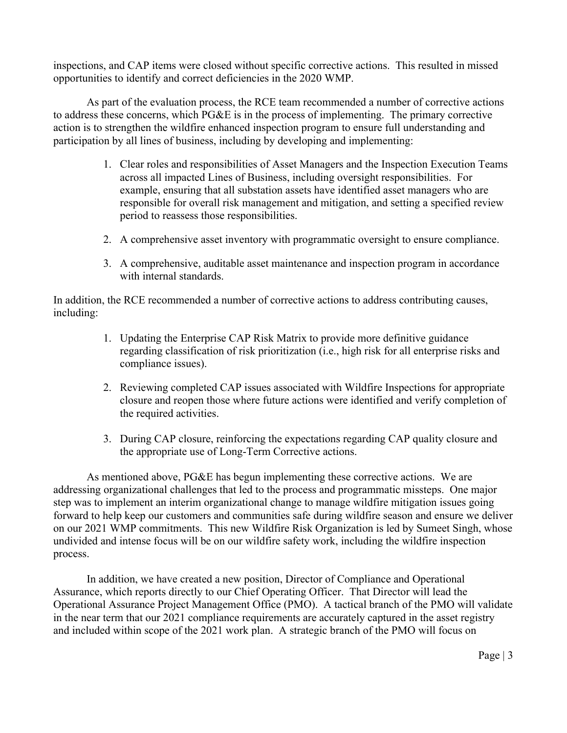inspections, and CAP items were closed without specific corrective actions. This resulted in missed opportunities to identify and correct deficiencies in the 2020 WMP.

As part of the evaluation process, the RCE team recommended a number of corrective actions to address these concerns, which PG&E is in the process of implementing. The primary corrective action is to strengthen the wildfire enhanced inspection program to ensure full understanding and participation by all lines of business, including by developing and implementing:

- 1. Clear roles and responsibilities of Asset Managers and the Inspection Execution Teams across all impacted Lines of Business, including oversight responsibilities. For example, ensuring that all substation assets have identified asset managers who are responsible for overall risk management and mitigation, and setting a specified review period to reassess those responsibilities.
- 2. A comprehensive asset inventory with programmatic oversight to ensure compliance.
- 3. A comprehensive, auditable asset maintenance and inspection program in accordance with internal standards.

In addition, the RCE recommended a number of corrective actions to address contributing causes, including:

- 1. Updating the Enterprise CAP Risk Matrix to provide more definitive guidance regarding classification of risk prioritization (i.e., high risk for all enterprise risks and compliance issues).
- 2. Reviewing completed CAP issues associated with Wildfire Inspections for appropriate closure and reopen those where future actions were identified and verify completion of the required activities.
- 3. During CAP closure, reinforcing the expectations regarding CAP quality closure and the appropriate use of Long-Term Corrective actions.

As mentioned above, PG&E has begun implementing these corrective actions. We are addressing organizational challenges that led to the process and programmatic missteps. One major step was to implement an interim organizational change to manage wildfire mitigation issues going forward to help keep our customers and communities safe during wildfire season and ensure we deliver on our 2021 WMP commitments. This new Wildfire Risk Organization is led by Sumeet Singh, whose undivided and intense focus will be on our wildfire safety work, including the wildfire inspection process.

In addition, we have created a new position, Director of Compliance and Operational Assurance, which reports directly to our Chief Operating Officer. That Director will lead the Operational Assurance Project Management Office (PMO). A tactical branch of the PMO will validate in the near term that our 2021 compliance requirements are accurately captured in the asset registry and included within scope of the 2021 work plan. A strategic branch of the PMO will focus on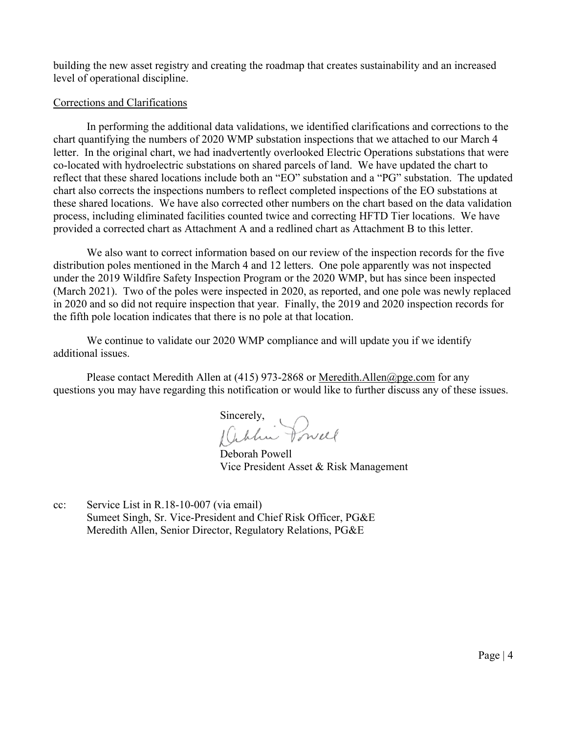building the new asset registry and creating the roadmap that creates sustainability and an increased level of operational discipline.

#### Corrections and Clarifications

In performing the additional data validations, we identified clarifications and corrections to the chart quantifying the numbers of 2020 WMP substation inspections that we attached to our March 4 letter. In the original chart, we had inadvertently overlooked Electric Operations substations that were co-located with hydroelectric substations on shared parcels of land. We have updated the chart to reflect that these shared locations include both an "EO" substation and a "PG" substation. The updated chart also corrects the inspections numbers to reflect completed inspections of the EO substations at these shared locations. We have also corrected other numbers on the chart based on the data validation process, including eliminated facilities counted twice and correcting HFTD Tier locations. We have provided a corrected chart as Attachment A and a redlined chart as Attachment B to this letter.

We also want to correct information based on our review of the inspection records for the five distribution poles mentioned in the March 4 and 12 letters. One pole apparently was not inspected under the 2019 Wildfire Safety Inspection Program or the 2020 WMP, but has since been inspected (March 2021). Two of the poles were inspected in 2020, as reported, and one pole was newly replaced in 2020 and so did not require inspection that year. Finally, the 2019 and 2020 inspection records for the fifth pole location indicates that there is no pole at that location.

We continue to validate our 2020 WMP compliance and will update you if we identify additional issues.

Please contact Meredith Allen at (415) 973-2868 or Meredith. Allen@pge.com for any questions you may have regarding this notification or would like to further discuss any of these issues.

Sincerely,<br>(Cablin Powell

Deborah Powell Vice President Asset & Risk Management

cc: Service List in R.18-10-007 (via email) Sumeet Singh, Sr. Vice-President and Chief Risk Officer, PG&E Meredith Allen, Senior Director, Regulatory Relations, PG&E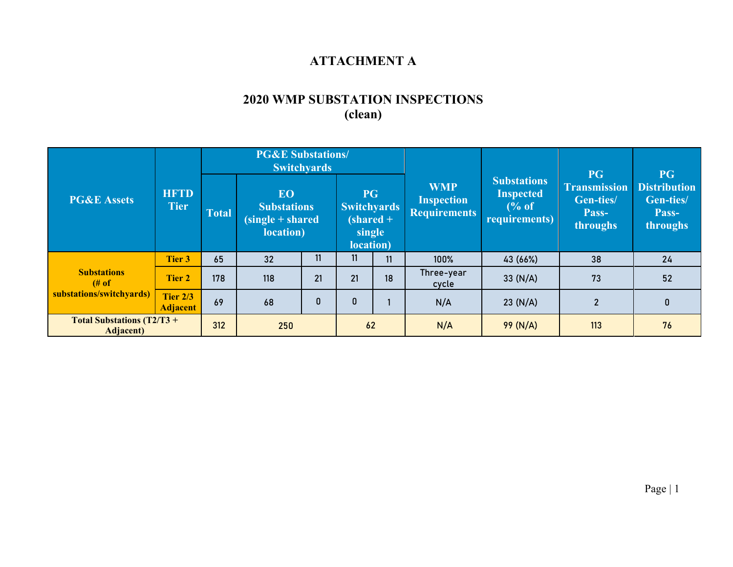### **ATTACHMENT A**

# **2020 WMP SUBSTATION INSPECTIONS (clean)**

| <b>PG&amp;E Assets</b>                                 | <b>HFTD</b><br><b>Tier</b>         | <b>PG&amp;E Substations/</b><br><b>Switchyards</b> |                                                                     |    |                                                        |            |                                                        |                                                                             |                                                             | <b>PG</b>                                             |
|--------------------------------------------------------|------------------------------------|----------------------------------------------------|---------------------------------------------------------------------|----|--------------------------------------------------------|------------|--------------------------------------------------------|-----------------------------------------------------------------------------|-------------------------------------------------------------|-------------------------------------------------------|
|                                                        |                                    | <b>Total</b>                                       | <b>EO</b><br><b>Substations</b><br>$(single + shared)$<br>location) |    | <b>PG</b><br><b>Switchyards</b><br>single<br>location) | $shared +$ | <b>WMP</b><br><b>Inspection</b><br><b>Requirements</b> | <b>Substations</b><br><b>Inspected</b><br>$\frac{6}{6}$ of<br>requirements) | PG<br><b>Transmission</b><br>Gen-ties/<br>Pass-<br>throughs | <b>Distribution</b><br>Gen-ties/<br>Pass-<br>throughs |
| <b>Substations</b><br># of<br>substations/switchyards) | <b>Tier 3</b>                      | 65                                                 | 32                                                                  | 11 | 11                                                     | 11         | 100%                                                   | 43 (66%)                                                                    | 38                                                          | 24                                                    |
|                                                        | <b>Tier 2</b>                      | 178                                                | 118                                                                 | 21 | 21                                                     | 18         | Three-year<br>cycle                                    | 33 $(N/A)$                                                                  | 73                                                          | 52                                                    |
|                                                        | <b>Tier 2/3</b><br><b>Adjacent</b> | 69                                                 | 68                                                                  | 0  | $\bf{0}$                                               |            | N/A                                                    | 23 (N/A)                                                                    | $\overline{2}$                                              | $\mathbf{0}$                                          |
| <b>Total Substations (T2/T3 +</b><br><b>Adjacent</b> ) |                                    | 312                                                | 250                                                                 |    | 62                                                     |            | N/A                                                    | 99(N/A)                                                                     | 113                                                         | 76                                                    |